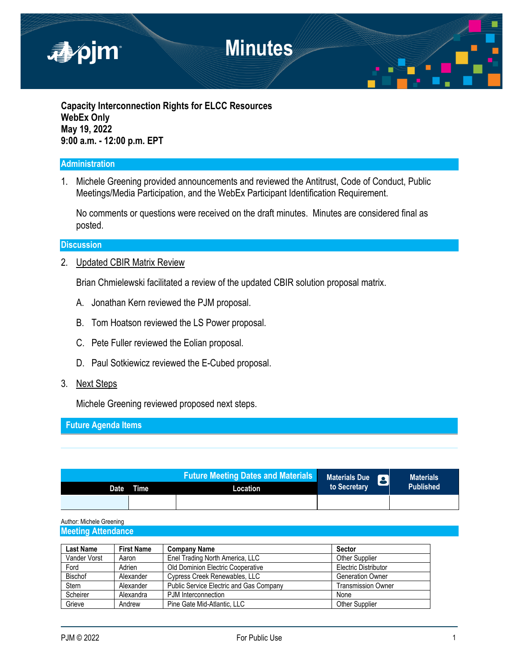

**Capacity Interconnection Rights for ELCC Resources WebEx Only May 19, 2022 9:00 a.m. - 12:00 p.m. EPT**

### **Administration**

1. Michele Greening provided announcements and reviewed the Antitrust, Code of Conduct, Public Meetings/Media Participation, and the WebEx Participant Identification Requirement.

No comments or questions were received on the draft minutes. Minutes are considered final as posted.

### **Discussion**

2. Updated CBIR Matrix Review

Brian Chmielewski facilitated a review of the updated CBIR solution proposal matrix.

- A. Jonathan Kern reviewed the PJM proposal.
- B. Tom Hoatson reviewed the LS Power proposal.
- C. Pete Fuller reviewed the Eolian proposal.
- D. Paul Sotkiewicz reviewed the E-Cubed proposal.
- 3. Next Steps

Michele Greening reviewed proposed next steps.

**Future Agenda Items**

|      |             | <b>Future Meeting Dates and Materials</b> | Materials Due |  | <b>Materials</b> |  |
|------|-------------|-------------------------------------------|---------------|--|------------------|--|
| Date | <b>Time</b> | Location                                  | to Secretary  |  | <b>Published</b> |  |
|      |             |                                           |               |  |                  |  |

Author: Michele Greening **Meeting Attendance** 

| Last Name      | <b>First Name</b> | <b>Company Name</b>                            | Sector                    |
|----------------|-------------------|------------------------------------------------|---------------------------|
| Vander Vorst   | Aaron             | Enel Trading North America, LLC                | <b>Other Supplier</b>     |
| Ford           | Adrien            | Old Dominion Electric Cooperative              | Electric Distributor      |
| <b>Bischof</b> | Alexander         | Cypress Creek Renewables, LLC                  | <b>Generation Owner</b>   |
| Stern          | Alexander         | <b>Public Service Electric and Gas Company</b> | <b>Transmission Owner</b> |
| Scheirer       | Alexandra         | PJM Interconnection                            | None                      |
| Grieve         | Andrew            | Pine Gate Mid-Atlantic, LLC                    | Other Supplier            |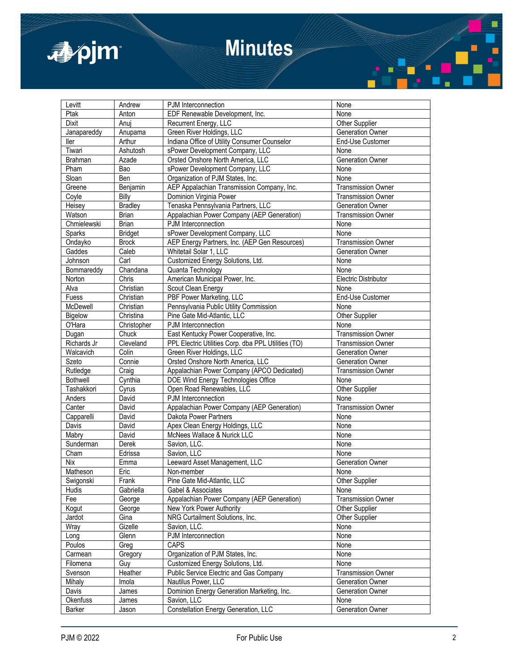

# **Minutes**

| Levitt          | Andrew         | PJM Interconnection                                 | None                      |  |
|-----------------|----------------|-----------------------------------------------------|---------------------------|--|
| Ptak            | Anton          | EDF Renewable Development, Inc.                     | None                      |  |
| Dixit           | Anuj           | Recurrent Energy, LLC                               | Other Supplier            |  |
| Janapareddy     | Anupama        | Green River Holdings, LLC                           | Generation Owner          |  |
| ller            | Arthur         | Indiana Office of Utility Consumer Counselor        | End-Use Customer          |  |
| Tiwari          | Ashutosh       | sPower Development Company, LLC                     | None                      |  |
| <b>Brahman</b>  | Azade          | Orsted Onshore North America, LLC                   | Generation Owner          |  |
| Pham            | Bao            | sPower Development Company, LLC                     | None                      |  |
| Sloan           | Ben            | Organization of PJM States, Inc.                    | None                      |  |
| Greene          | Benjamin       | AEP Appalachian Transmission Company, Inc.          | <b>Transmission Owner</b> |  |
|                 |                | Dominion Virginia Power                             |                           |  |
| Coyle           | Billy          |                                                     | <b>Transmission Owner</b> |  |
| Heisey          | <b>Bradley</b> | Tenaska Pennsylvania Partners, LLC                  | <b>Generation Owner</b>   |  |
| Watson          | <b>Brian</b>   | Appalachian Power Company (AEP Generation)          | <b>Transmission Owner</b> |  |
| Chmielewski     | <b>Brian</b>   | PJM Interconnection                                 | None                      |  |
| Sparks          | <b>Bridget</b> | sPower Development Company, LLC                     | None                      |  |
| Ondayko         | <b>Brock</b>   | AEP Energy Partners, Inc. (AEP Gen Resources)       | <b>Transmission Owner</b> |  |
| Gaddes          | Caleb          | Whitetail Solar 1, LLC                              | <b>Generation Owner</b>   |  |
| Johnson         | Carl           | Customized Energy Solutions, Ltd.                   | None                      |  |
| Bommareddy      | Chandana       | Quanta Technology                                   | None                      |  |
| Norton          | Chris          | American Municipal Power, Inc.                      | Electric Distributor      |  |
| Alva            | Christian      | Scout Clean Energy                                  | None                      |  |
| Fuess           | Christian      | PBF Power Marketing, LLC                            | End-Use Customer          |  |
| McDewell        | Christian      | Pennsylvania Public Utility Commission              | None                      |  |
| Bigelow         | Christina      | Pine Gate Mid-Atlantic, LLC                         | Other Supplier            |  |
| O'Hara          | Christopher    | PJM Interconnection                                 | None                      |  |
| Dugan           | Chuck          | East Kentucky Power Cooperative, Inc.               | <b>Transmission Owner</b> |  |
| Richards Jr     | Cleveland      | PPL Electric Utilities Corp. dba PPL Utilities (TO) | Transmission Owner        |  |
| Walcavich       | Colin          | Green River Holdings, LLC                           | Generation Owner          |  |
| Szeto           | Connie         | Orsted Onshore North America, LLC                   | Generation Owner          |  |
| Rutledge        | Craig          | Appalachian Power Company (APCO Dedicated)          | <b>Transmission Owner</b> |  |
| <b>Bothwell</b> | Cynthia        |                                                     | None                      |  |
|                 |                | DOE Wind Energy Technologies Office                 |                           |  |
| Tashakkori      | Cyrus          | Open Road Renewables, LLC                           | Other Supplier            |  |
| Anders          | David          | PJM Interconnection                                 | None                      |  |
| Canter          | David          | Appalachian Power Company (AEP Generation)          | <b>Transmission Owner</b> |  |
| Capparelli      | David          | Dakota Power Partners                               | None                      |  |
| Davis           | David          | Apex Clean Energy Holdings, LLC                     | None                      |  |
| Mabry           | David          | McNees Wallace & Nurick LLC                         | None                      |  |
| Sunderman       | Derek          | Savion, LLC.                                        | None                      |  |
| Cham            | Edrissa        | Savion, LLC                                         | None                      |  |
| <b>Nix</b>      | Emma           | Leeward Asset Management, LLC                       | Generation Owner          |  |
| Matheson        | Eric           | Non-member                                          | None                      |  |
| Swigonski       | Frank          | Pine Gate Mid-Atlantic, LLC                         | <b>Other Supplier</b>     |  |
| Hudis           | Gabriella      | Gabel & Associates                                  | None                      |  |
| Fee             | George         | Appalachian Power Company (AEP Generation)          | <b>Transmission Owner</b> |  |
| Kogut           | George         | New York Power Authority                            | Other Supplier            |  |
| Jardot          | Gina           | NRG Curtailment Solutions, Inc.                     | Other Supplier            |  |
| Wray            | Gizelle        | Savion, LLC.                                        | None                      |  |
| Long            | Glenn          | PJM Interconnection                                 | None                      |  |
| Poulos          | Greg           | CAPS                                                | None                      |  |
| Carmean         | Gregory        | Organization of PJM States, Inc.                    | None                      |  |
|                 |                | Customized Energy Solutions, Ltd.                   |                           |  |
| Filomena        | Guy            |                                                     | None                      |  |
| Svenson         | Heather        | Public Service Electric and Gas Company             | <b>Transmission Owner</b> |  |
| Mihaly          | Imola          | Nautilus Power, LLC                                 | <b>Generation Owner</b>   |  |
| Davis           | James          | Dominion Energy Generation Marketing, Inc.          | Generation Owner          |  |
| Okenfuss        | James          | Savion, LLC                                         | None                      |  |
| Barker          | Jason          | Constellation Energy Generation, LLC                | Generation Owner          |  |

П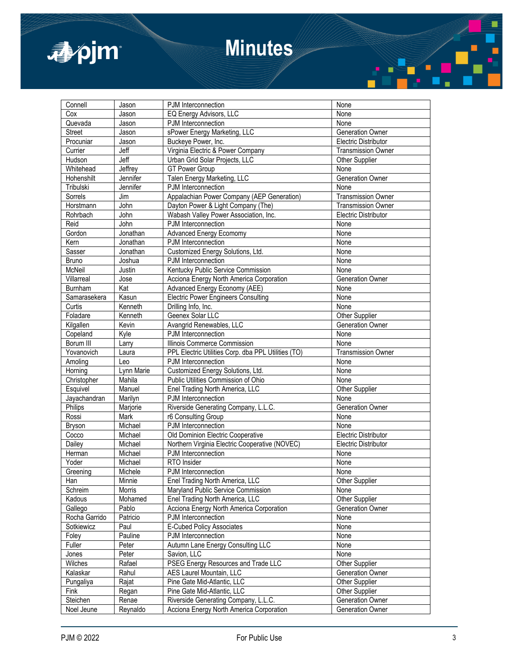

# **Minutes**

| Connell       | Jason      | PJM Interconnection                                 | None                        |  |
|---------------|------------|-----------------------------------------------------|-----------------------------|--|
| Cox           | Jason      | EQ Energy Advisors, LLC                             | None                        |  |
| Quevada       | Jason      | PJM Interconnection                                 | None                        |  |
| <b>Street</b> | Jason      | sPower Energy Marketing, LLC                        | Generation Owner            |  |
| Procuniar     | Jason      | Buckeye Power, Inc.                                 | Electric Distributor        |  |
| Currier       | Jeff       | Virginia Electric & Power Company                   | <b>Transmission Owner</b>   |  |
| Hudson        | Jeff       | Urban Grid Solar Projects, LLC                      | Other Supplier              |  |
| Whitehead     | Jeffrey    | <b>GT Power Group</b>                               | None                        |  |
| Hohenshilt    | Jennifer   | Talen Energy Marketing, LLC                         | Generation Owner            |  |
| Tribulski     | Jennifer   | PJM Interconnection                                 | None                        |  |
| Sorrels       | Jim        | Appalachian Power Company (AEP Generation)          | Transmission Owner          |  |
| Horstmann     | John       | Dayton Power & Light Company (The)                  | <b>Transmission Owner</b>   |  |
| Rohrbach      | John       | Wabash Valley Power Association, Inc.               | <b>Electric Distributor</b> |  |
| Reid          | John       | PJM Interconnection                                 | None                        |  |
| Gordon        | Jonathan   | Advanced Energy Ecomomy                             | None                        |  |
| Kern          |            |                                                     |                             |  |
|               | Jonathan   | PJM Interconnection                                 | None                        |  |
| Sasser        | Jonathan   | Customized Energy Solutions, Ltd.                   | None                        |  |
| Bruno         | Joshua     | PJM Interconnection                                 | None                        |  |
| McNeil        | Justin     | Kentucky Public Service Commission                  | None                        |  |
| Villarreal    | Jose       | Acciona Energy North America Corporation            | Generation Owner            |  |
| Burnham       | Kat        | Advanced Energy Economy (AEE)                       | None                        |  |
| Samarasekera  | Kasun      | <b>Electric Power Engineers Consulting</b>          | None                        |  |
| Curtis        | Kenneth    | Drilling Info, Inc.                                 | None                        |  |
| Foladare      | Kenneth    | Geenex Solar LLC                                    | Other Supplier              |  |
| Kilgallen     | Kevin      | Avangrid Renewables, LLC                            | Generation Owner            |  |
| Copeland      | Kyle       | PJM Interconnection                                 | None                        |  |
| Borum III     | Larry      | Illinois Commerce Commission                        | None                        |  |
| Yovanovich    | Laura      | PPL Electric Utilities Corp. dba PPL Utilities (TO) | <b>Transmission Owner</b>   |  |
| Amoling       | Leo        | PJM Interconnection                                 | None                        |  |
| Horning       | Lynn Marie | Customized Energy Solutions, Ltd.                   | None                        |  |
| Christopher   | Mahila     | Public Utilities Commission of Ohio                 | None                        |  |
| Esquivel      | Manuel     | Enel Trading North America, LLC                     | Other Supplier              |  |
| Jayachandran  | Marilyn    | PJM Interconnection                                 | None                        |  |
| Philips       | Marjorie   | Riverside Generating Company, L.L.C.                | Generation Owner            |  |
| Rossi         | Mark       | r6 Consulting Group                                 | None                        |  |
| Bryson        | Michael    | PJM Interconnection                                 | None                        |  |
| Cocco         | Michael    | Old Dominion Electric Cooperative                   | Electric Distributor        |  |
| Dailey        | Michael    | Northern Virginia Electric Cooperative (NOVEC)      | Electric Distributor        |  |
| Herman        | Michael    | PJM Interconnection                                 | None                        |  |
| Yoder         | Michael    | RTO Insider                                         | None                        |  |
| Greening      | Michele    | PJM Interconnection                                 | None                        |  |
| Han           | Minnie     | Enel Trading North America, LLC                     | Other Supplier              |  |
| Schreim       | Morris     | Maryland Public Service Commission                  | None                        |  |
| Kadous        | Mohamed    | Enel Trading North America, LLC                     | Other Supplier              |  |
| Gallego       | Pablo      | Acciona Energy North America Corporation            | Generation Owner            |  |
| Rocha Garrido | Patricio   | PJM Interconnection                                 | None                        |  |
| Sotkiewicz    | Paul       | E-Cubed Policy Associates                           | None                        |  |
| Foley         | Pauline    | PJM Interconnection                                 | None                        |  |
| Fuller        | Peter      | Autumn Lane Energy Consulting LLC                   | None                        |  |
| Jones         | Peter      | Savion, LLC                                         | None                        |  |
| Wilches       | Rafael     | PSEG Energy Resources and Trade LLC                 | <b>Other Supplier</b>       |  |
| Kalaskar      | Rahul      | AES Laurel Mountain, LLC                            | Generation Owner            |  |
| Pungaliya     | Rajat      | Pine Gate Mid-Atlantic, LLC                         | Other Supplier              |  |
| Fink          | Regan      | Pine Gate Mid-Atlantic, LLC                         | Other Supplier              |  |
| Steichen      | Renae      | Riverside Generating Company, L.L.C.                | Generation Owner            |  |
| Noel Jeune    | Reynaldo   | Acciona Energy North America Corporation            | Generation Owner            |  |
|               |            |                                                     |                             |  |

ä,